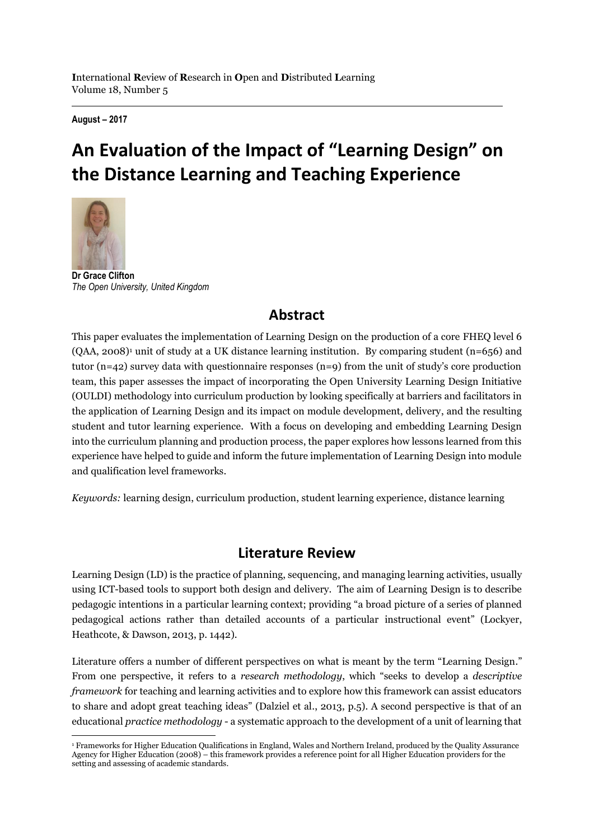**August – 2017**

# **An Evaluation of the Impact of "Learning Design" on the Distance Learning and Teaching Experience**



**Dr Grace Clifton** *The Open University, United Kingdom*

## **Abstract**

This paper evaluates the implementation of Learning Design on the production of a core FHEQ level 6  $(OAA, 2008)^1$  unit of study at a UK distance learning institution. By comparing student (n=656) and tutor (n=42) survey data with questionnaire responses (n=9) from the unit of study's core production team, this paper assesses the impact of incorporating the Open University Learning Design Initiative (OULDI) methodology into curriculum production by looking specifically at barriers and facilitators in the application of Learning Design and its impact on module development, delivery, and the resulting student and tutor learning experience. With a focus on developing and embedding Learning Design into the curriculum planning and production process, the paper explores how lessons learned from this experience have helped to guide and inform the future implementation of Learning Design into module and qualification level frameworks.

*Keywords:* learning design, curriculum production, student learning experience, distance learning

### **Literature Review**

Learning Design (LD) is the practice of planning, sequencing, and managing learning activities, usually using ICT-based tools to support both design and delivery. The aim of Learning Design is to describe pedagogic intentions in a particular learning context; providing "a broad picture of a series of planned pedagogical actions rather than detailed accounts of a particular instructional event" (Lockyer, Heathcote, & Dawson, 2013, p. 1442).

Literature offers a number of different perspectives on what is meant by the term "Learning Design." From one perspective, it refers to a *research methodology*, which "seeks to develop a *descriptive framework* for teaching and learning activities and to explore how this framework can assist educators to share and adopt great teaching ideas" (Dalziel et al., 2013, p.5). A second perspective is that of an educational *practice methodology* - a systematic approach to the development of a unit of learning that

**<sup>.</sup>** <sup>1</sup> Frameworks for Higher Education Qualifications in England, Wales and Northern Ireland, produced by the Quality Assurance Agency for Higher Education (2008) – this framework provides a reference point for all Higher Education providers for the setting and assessing of academic standards.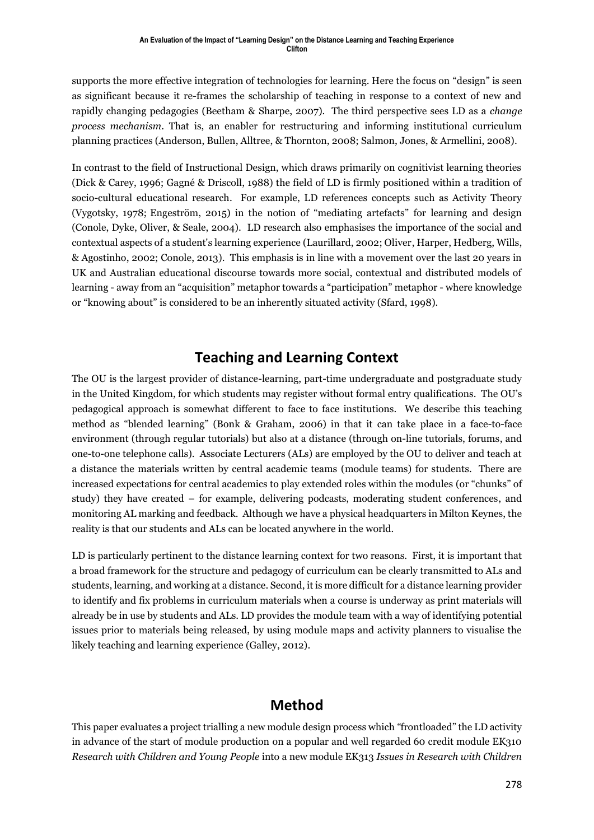supports the more effective integration of technologies for learning. Here the focus on "design" is seen as significant because it re-frames the scholarship of teaching in response to a context of new and rapidly changing pedagogies (Beetham & Sharpe, 2007). The third perspective sees LD as a *change process mechanism*. That is, an enabler for restructuring and informing institutional curriculum planning practices (Anderson, Bullen, Alltree, & Thornton, 2008; Salmon, Jones, & Armellini, 2008).

In contrast to the field of Instructional Design, which draws primarily on cognitivist learning theories (Dick & Carey, 1996; Gagné & Driscoll, 1988) the field of LD is firmly positioned within a tradition of socio-cultural educational research. For example, LD references concepts such as Activity Theory (Vygotsky, 1978; Engeström, 2015) in the notion of "mediating artefacts" for learning and design (Conole, Dyke, Oliver, & Seale, 2004). LD research also emphasises the importance of the social and contextual aspects of a student's learning experience (Laurillard, 2002; Oliver, Harper, Hedberg, Wills, & Agostinho, 2002; Conole, 2013). This emphasis is in line with a movement over the last 20 years in UK and Australian educational discourse towards more social, contextual and distributed models of learning - away from an "acquisition" metaphor towards a "participation" metaphor - where knowledge or "knowing about" is considered to be an inherently situated activity (Sfard, 1998).

### **Teaching and Learning Context**

The OU is the largest provider of distance-learning, part-time undergraduate and postgraduate study in the United Kingdom, for which students may register without formal entry qualifications. The OU's pedagogical approach is somewhat different to face to face institutions. We describe this teaching method as "blended learning" (Bonk & Graham, 2006) in that it can take place in a face-to-face environment (through regular tutorials) but also at a distance (through on-line tutorials, forums, and one-to-one telephone calls). Associate Lecturers (ALs) are employed by the OU to deliver and teach at a distance the materials written by central academic teams (module teams) for students. There are increased expectations for central academics to play extended roles within the modules (or "chunks" of study) they have created – for example, delivering podcasts, moderating student conferences, and monitoring AL marking and feedback. Although we have a physical headquarters in Milton Keynes, the reality is that our students and ALs can be located anywhere in the world.

LD is particularly pertinent to the distance learning context for two reasons. First, it is important that a broad framework for the structure and pedagogy of curriculum can be clearly transmitted to ALs and students, learning, and working at a distance. Second, it is more difficult for a distance learning provider to identify and fix problems in curriculum materials when a course is underway as print materials will already be in use by students and ALs. LD provides the module team with a way of identifying potential issues prior to materials being released, by using module maps and activity planners to visualise the likely teaching and learning experience (Galley, 2012).

## **Method**

This paper evaluates a project trialling a new module design process which *"*frontloaded" the LD activity in advance of the start of module production on a popular and well regarded 60 credit module EK310 *Research with Children and Young People* into a new module EK313 *Issues in Research with Children*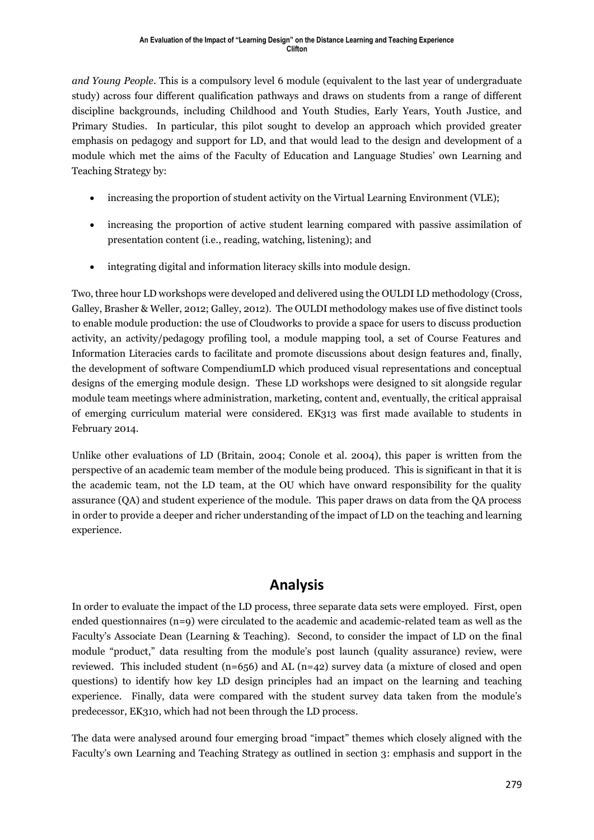*and Young People*. This is a compulsory level 6 module (equivalent to the last year of undergraduate study) across four different qualification pathways and draws on students from a range of different discipline backgrounds, including Childhood and Youth Studies, Early Years, Youth Justice, and Primary Studies. In particular, this pilot sought to develop an approach which provided greater emphasis on pedagogy and support for LD, and that would lead to the design and development of a module which met the aims of the Faculty of Education and Language Studies' own Learning and Teaching Strategy by:

- increasing the proportion of student activity on the Virtual Learning Environment (VLE);
- increasing the proportion of active student learning compared with passive assimilation of presentation content (i.e., reading, watching, listening); and
- integrating digital and information literacy skills into module design.

Two, three hour LD workshops were developed and delivered using the OULDI LD methodology (Cross, Galley, Brasher & Weller, 2012; Galley, 2012). The OULDI methodology makes use of five distinct tools to enable module production: the use of Cloudworks to provide a space for users to discuss production activity, an activity/pedagogy profiling tool, a module mapping tool, a set of Course Features and Information Literacies cards to facilitate and promote discussions about design features and, finally, the development of software CompendiumLD which produced visual representations and conceptual designs of the emerging module design. These LD workshops were designed to sit alongside regular module team meetings where administration, marketing, content and, eventually, the critical appraisal of emerging curriculum material were considered. EK313 was first made available to students in February 2014.

Unlike other evaluations of LD (Britain, 2004; Conole et al. 2004), this paper is written from the perspective of an academic team member of the module being produced. This is significant in that it is the academic team, not the LD team, at the OU which have onward responsibility for the quality assurance (QA) and student experience of the module. This paper draws on data from the QA process in order to provide a deeper and richer understanding of the impact of LD on the teaching and learning experience.

## **Analysis**

In order to evaluate the impact of the LD process, three separate data sets were employed. First, open ended questionnaires (n=9) were circulated to the academic and academic-related team as well as the Faculty's Associate Dean (Learning & Teaching). Second, to consider the impact of LD on the final module "product," data resulting from the module's post launch (quality assurance) review, were reviewed. This included student  $(n=656)$  and AL  $(n=42)$  survey data (a mixture of closed and open questions) to identify how key LD design principles had an impact on the learning and teaching experience. Finally, data were compared with the student survey data taken from the module's predecessor, EK310, which had not been through the LD process.

The data were analysed around four emerging broad "impact" themes which closely aligned with the Faculty's own Learning and Teaching Strategy as outlined in section 3: emphasis and support in the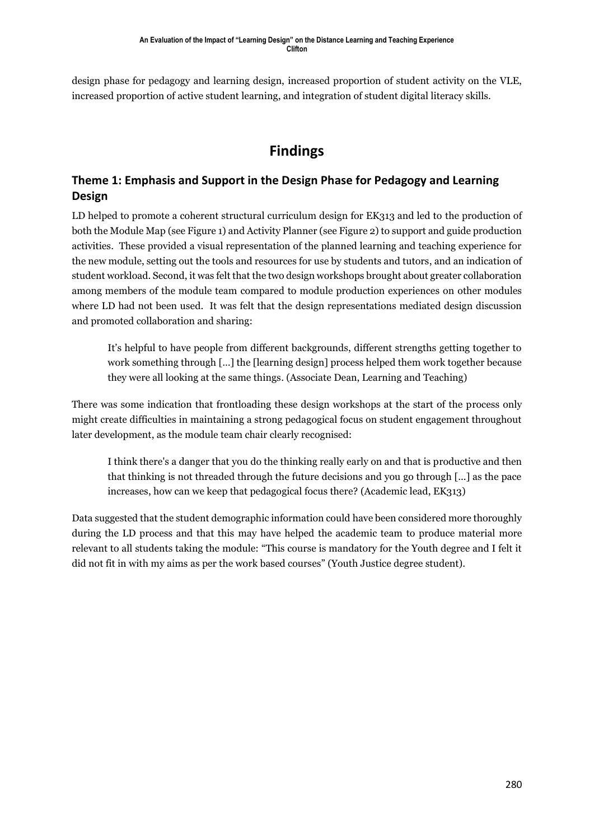design phase for pedagogy and learning design, increased proportion of student activity on the VLE, increased proportion of active student learning, and integration of student digital literacy skills.

## **Findings**

### **Theme 1: Emphasis and Support in the Design Phase for Pedagogy and Learning Design**

LD helped to promote a coherent structural curriculum design for EK313 and led to the production of both the Module Map (see Figure 1) and Activity Planner (see Figure 2) to support and guide production activities. These provided a visual representation of the planned learning and teaching experience for the new module, setting out the tools and resources for use by students and tutors, and an indication of student workload. Second, it was felt that the two design workshops brought about greater collaboration among members of the module team compared to module production experiences on other modules where LD had not been used. It was felt that the design representations mediated design discussion and promoted collaboration and sharing:

It's helpful to have people from different backgrounds, different strengths getting together to work something through […] the [learning design] process helped them work together because they were all looking at the same things. (Associate Dean, Learning and Teaching)

There was some indication that frontloading these design workshops at the start of the process only might create difficulties in maintaining a strong pedagogical focus on student engagement throughout later development, as the module team chair clearly recognised:

I think there's a danger that you do the thinking really early on and that is productive and then that thinking is not threaded through the future decisions and you go through [...] as the pace increases, how can we keep that pedagogical focus there? (Academic lead, EK313)

Data suggested that the student demographic information could have been considered more thoroughly during the LD process and that this may have helped the academic team to produce material more relevant to all students taking the module: "This course is mandatory for the Youth degree and I felt it did not fit in with my aims as per the work based courses" (Youth Justice degree student).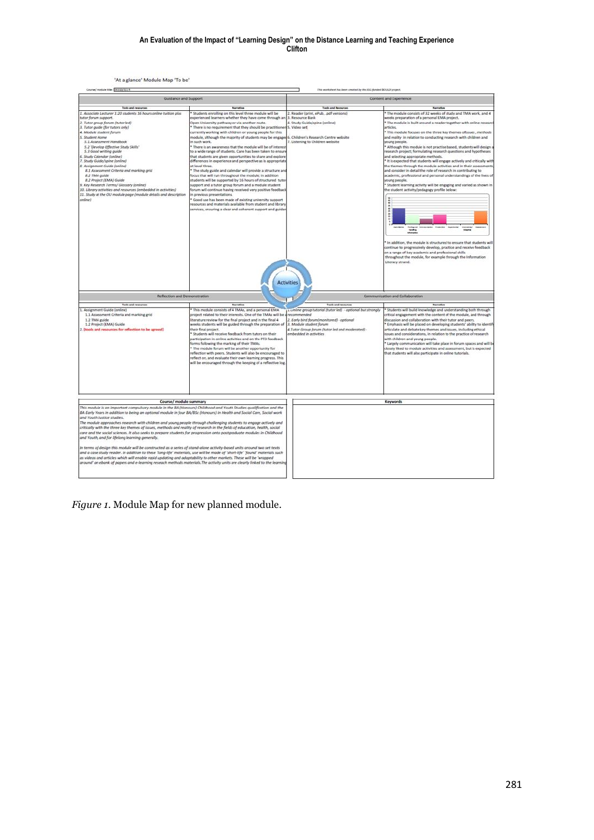#### **An Evaluation of the Impact of "Learning Design" on the Distance Learning and Teaching Experience Clifton**

 $-$  [1332/111 \* Content and Experie lance and Supe **Tools and Resource** Tools and reas Newstween<br>The module consists of 32 weeks of study and TMA<br>eeks preparation of a personal EMA project,<br>The module is built around a reader together with c Students enrolling on this level three module will be<br>perfericed learners whether they have come throug<br>pen University pathway or via another route.<br>There is no requirement that they should be practiti saciate Lecturer 1:20 s ian plu Reader (print, ePub, .po<br>Resource Bank Tutar group forum (tutar k<br>Tutar gwide (for tutars only<br>Module student forum<br>Student Hame<br>S. I. Assessment Handbook a London sed<br>2 on the three key the orking with children or young peo<br>hough the majority of students m .<br>Children's Research Centre wei  $\pm$  1 Assument Handbook<br> $\pm$  1 Assument Handbook<br> $\pm$  1 Greekop (Hective Snaty Skills)<br> $\pm$  3 Groot weriting and<br>the  $\pm$  1 Starty Galendary (antine)<br> $\pm$  2 Assument Galendary (antine)<br> $\pm$  3 Assument Galendary (and mark such work.<br>There is an awareness that the module will be of in<br>a wide range of students. Care has been taken to<br>at students are given opportunities to share and es<br>fferences in experience and perspective as is appro Alth nouve.<br>agh this module is not practise based, st<br>h project; formulating research question rous module is not practise issied, a<br>project, formulating research questio<br>ing appropriate methods.<br>cted that students will engage activ ch pr ely and critically hree.<br>dy guide and calendar will pro<br>it will run throughout the mo es through the module activities and is<br>ider in detail the role of research in cor e study guide and calendar will provide a structure<br>in that will cun throughout the module; in adial and the supported by 18 hours of structure<br>nort and a bator group forum and a module structure in will continue having re - tured ing p people.<br>nt learning activity will be engaging and varied as sh<br>dent activity/pedagogy profile below: 11. Study at the OU module page (m) ă) H -In addition, the module is structured to ensure that stude in assumer, the mosque is structured to ensure that systems<br>antinue to progressively develop, practice and receive<br>ha range of key academic and professional skills<br>trenghout the module, for example through the Infor<br>iterac Activities **Reflection and De** Com n and Collaboration Ted<br>Assignment Guide (online) Then<br>he group tutorial (tuto This module consists of 4 TMAs, and a personal EMA Students will build knowledge and understanding both through This module consists of 4 TMA<sub>64</sub>, and a personal EMA $_{\rm A}$ <br>inject related to their interests. One of the TMA<sub>6</sub> will be a<br>rature review for the final project can in the final 4<br>wist transfer the final project and in the Students will build knowledge and understanding both through<br>this capacity and the content of the module, and through<br>this capacity and the content of the module, and there is a property<br>discussion and collaboration with 1.1 Assessment Criteria and marking grid<br>1.2 TMA guide<br>1.2 Project (EMA) Guide ecommended<br>1. Early bird foru<br>1. Module stude red) - opt 1. Early bird foru<br>1. Madule stude<br>1. Tutor Group fo<br>mbedded in act student fo<br>sup forum<br>in activiti on to be amped? m (tutor led and my the Courses Courses Courses Control of the Courses Courses Courses Courses Courses Courses Courses Courses Courses Courses Courses Courses Courses Courses Courses Courses Courses Courses Courses Courses Courses Courses Courses Keywords rms of design this module will be constructed as a series of stand-aione activity-based units around two set te<br>a case study reader. In addition to these "long-life" materials, use will be made of "abort-life" "(sumd" mate doc

*Figure 1.* Module Map for new planned module.

'At a glance' Module Map 'To be'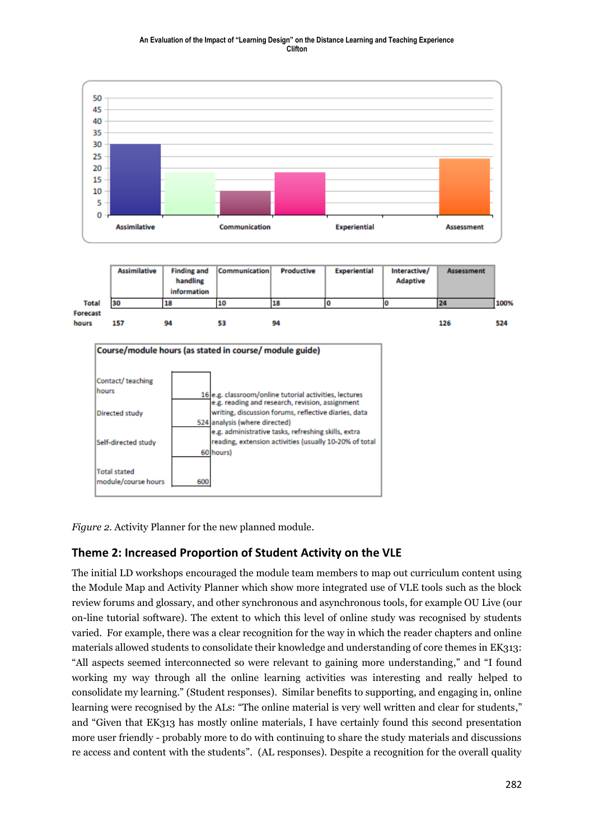

*Figure 2.* Activity Planner for the new planned module.

### **Theme 2: Increased Proportion of Student Activity on the VLE**

The initial LD workshops encouraged the module team members to map out curriculum content using the Module Map and Activity Planner which show more integrated use of VLE tools such as the block review forums and glossary, and other synchronous and asynchronous tools, for example OU Live (our on-line tutorial software). The extent to which this level of online study was recognised by students varied. For example, there was a clear recognition for the way in which the reader chapters and online materials allowed students to consolidate their knowledge and understanding of core themes in EK313: "All aspects seemed interconnected so were relevant to gaining more understanding," and "I found working my way through all the online learning activities was interesting and really helped to consolidate my learning." (Student responses). Similar benefits to supporting, and engaging in, online learning were recognised by the ALs: "The online material is very well written and clear for students," and "Given that EK313 has mostly online materials, I have certainly found this second presentation more user friendly - probably more to do with continuing to share the study materials and discussions re access and content with the students". (AL responses). Despite a recognition for the overall quality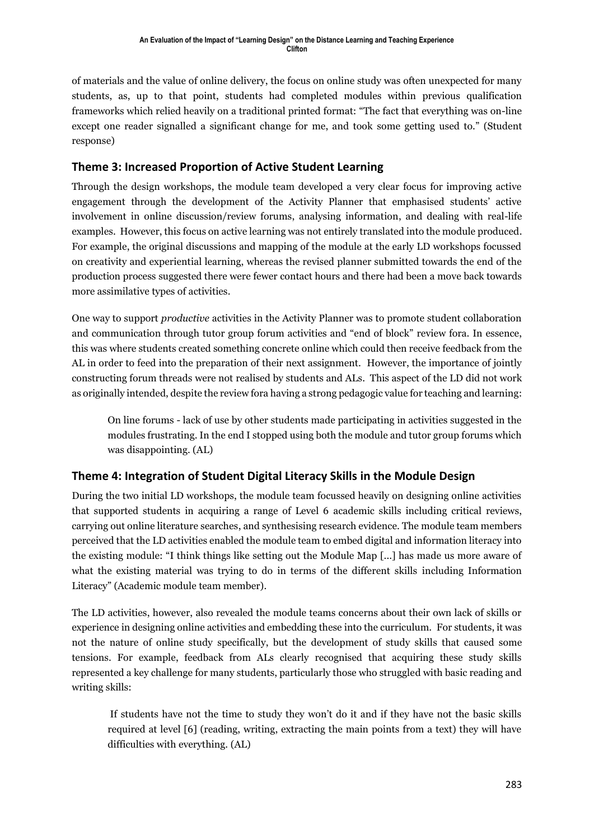of materials and the value of online delivery, the focus on online study was often unexpected for many students, as, up to that point, students had completed modules within previous qualification frameworks which relied heavily on a traditional printed format: "The fact that everything was on-line except one reader signalled a significant change for me, and took some getting used to." (Student response)

### **Theme 3: Increased Proportion of Active Student Learning**

Through the design workshops, the module team developed a very clear focus for improving active engagement through the development of the Activity Planner that emphasised students' active involvement in online discussion/review forums, analysing information, and dealing with real-life examples. However, this focus on active learning was not entirely translated into the module produced. For example, the original discussions and mapping of the module at the early LD workshops focussed on creativity and experiential learning, whereas the revised planner submitted towards the end of the production process suggested there were fewer contact hours and there had been a move back towards more assimilative types of activities.

One way to support *productive* activities in the Activity Planner was to promote student collaboration and communication through tutor group forum activities and "end of block" review fora. In essence, this was where students created something concrete online which could then receive feedback from the AL in order to feed into the preparation of their next assignment. However, the importance of jointly constructing forum threads were not realised by students and ALs. This aspect of the LD did not work as originally intended, despite the review fora having a strong pedagogic value for teaching and learning:

On line forums - lack of use by other students made participating in activities suggested in the modules frustrating. In the end I stopped using both the module and tutor group forums which was disappointing. (AL)

### **Theme 4: Integration of Student Digital Literacy Skills in the Module Design**

During the two initial LD workshops, the module team focussed heavily on designing online activities that supported students in acquiring a range of Level 6 academic skills including critical reviews, carrying out online literature searches, and synthesising research evidence. The module team members perceived that the LD activities enabled the module team to embed digital and information literacy into the existing module: "I think things like setting out the Module Map [...] has made us more aware of what the existing material was trying to do in terms of the different skills including Information Literacy" (Academic module team member).

The LD activities, however, also revealed the module teams concerns about their own lack of skills or experience in designing online activities and embedding these into the curriculum.For students, it was not the nature of online study specifically, but the development of study skills that caused some tensions. For example, feedback from ALs clearly recognised that acquiring these study skills represented a key challenge for many students, particularly those who struggled with basic reading and writing skills:

If students have not the time to study they won't do it and if they have not the basic skills required at level [6] (reading, writing, extracting the main points from a text) they will have difficulties with everything. (AL)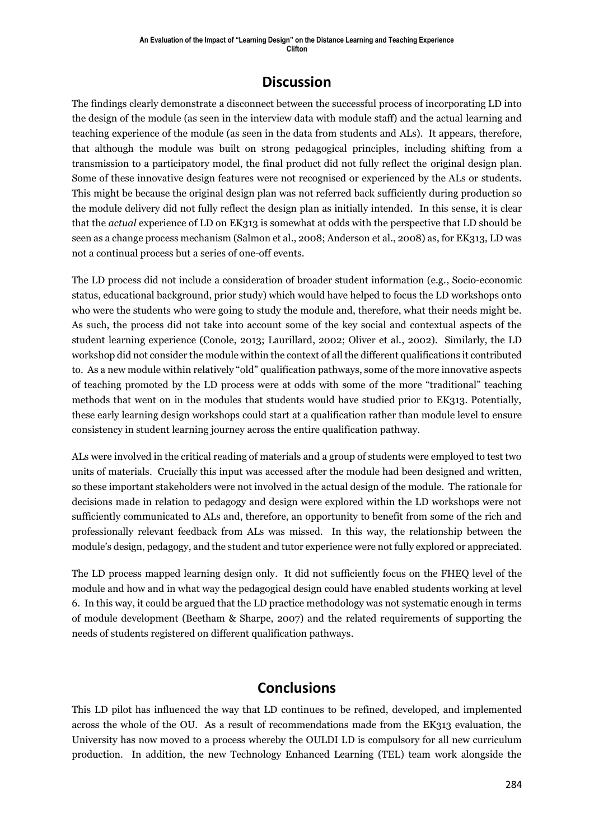### **Discussion**

The findings clearly demonstrate a disconnect between the successful process of incorporating LD into the design of the module (as seen in the interview data with module staff) and the actual learning and teaching experience of the module (as seen in the data from students and ALs). It appears, therefore, that although the module was built on strong pedagogical principles, including shifting from a transmission to a participatory model, the final product did not fully reflect the original design plan. Some of these innovative design features were not recognised or experienced by the ALs or students. This might be because the original design plan was not referred back sufficiently during production so the module delivery did not fully reflect the design plan as initially intended. In this sense, it is clear that the *actual* experience of LD on EK313 is somewhat at odds with the perspective that LD should be seen as a change process mechanism (Salmon et al., 2008; Anderson et al., 2008) as, for EK313, LD was not a continual process but a series of one-off events.

The LD process did not include a consideration of broader student information (e.g., Socio-economic status, educational background, prior study) which would have helped to focus the LD workshops onto who were the students who were going to study the module and, therefore, what their needs might be. As such, the process did not take into account some of the key social and contextual aspects of the student learning experience (Conole, 2013; Laurillard, 2002; Oliver et al., 2002). Similarly, the LD workshop did not consider the module within the context of all the different qualifications it contributed to. As a new module within relatively "old" qualification pathways, some of the more innovative aspects of teaching promoted by the LD process were at odds with some of the more "traditional" teaching methods that went on in the modules that students would have studied prior to EK313. Potentially, these early learning design workshops could start at a qualification rather than module level to ensure consistency in student learning journey across the entire qualification pathway.

ALs were involved in the critical reading of materials and a group of students were employed to test two units of materials. Crucially this input was accessed after the module had been designed and written, so these important stakeholders were not involved in the actual design of the module. The rationale for decisions made in relation to pedagogy and design were explored within the LD workshops were not sufficiently communicated to ALs and, therefore, an opportunity to benefit from some of the rich and professionally relevant feedback from ALs was missed. In this way, the relationship between the module's design, pedagogy, and the student and tutor experience were not fully explored or appreciated.

The LD process mapped learning design only. It did not sufficiently focus on the FHEQ level of the module and how and in what way the pedagogical design could have enabled students working at level 6. In this way, it could be argued that the LD practice methodology was not systematic enough in terms of module development (Beetham & Sharpe, 2007) and the related requirements of supporting the needs of students registered on different qualification pathways.

### **Conclusions**

This LD pilot has influenced the way that LD continues to be refined, developed, and implemented across the whole of the OU. As a result of recommendations made from the EK313 evaluation, the University has now moved to a process whereby the OULDI LD is compulsory for all new curriculum production. In addition, the new Technology Enhanced Learning (TEL) team work alongside the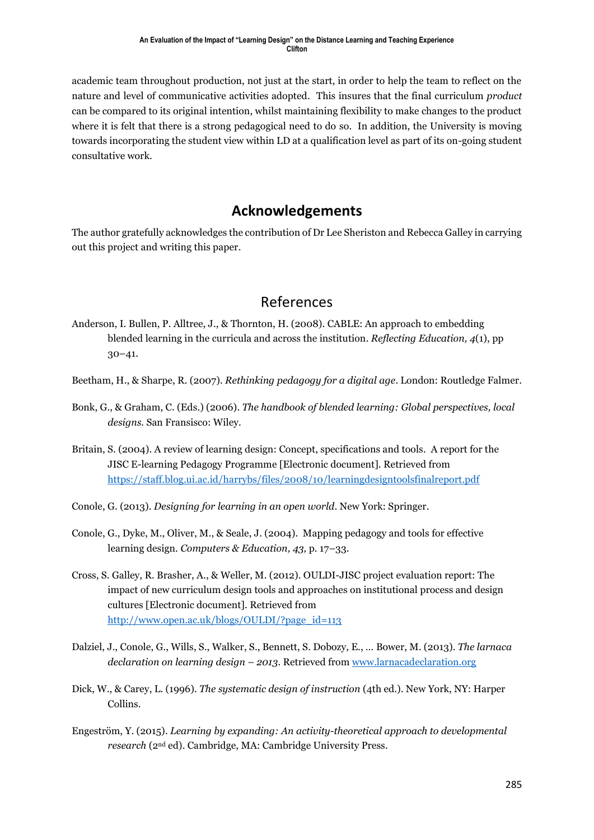academic team throughout production, not just at the start, in order to help the team to reflect on the nature and level of communicative activities adopted. This insures that the final curriculum *product* can be compared to its original intention, whilst maintaining flexibility to make changes to the product where it is felt that there is a strong pedagogical need to do so. In addition, the University is moving towards incorporating the student view within LD at a qualification level as part of its on-going student consultative work.

### **Acknowledgements**

The author gratefully acknowledges the contribution of Dr Lee Sheriston and Rebecca Galley in carrying out this project and writing this paper.

## References

- Anderson, I. Bullen, P. Alltree, J., & Thornton, H. (2008). CABLE: An approach to embedding blended learning in the curricula and across the institution. *Reflecting Education, 4*(1), pp 30–41.
- Beetham, H., & Sharpe, R. (2007). *Rethinking pedagogy for a digital age*. London: Routledge Falmer.
- Bonk, G., & Graham, C. (Eds.) (2006). *The handbook of blended learning: Global perspectives, local designs.* San Fransisco: Wiley.
- Britain, S. (2004). A review of learning design: Concept, specifications and tools. A report for the JISC E-learning Pedagogy Programme [Electronic document]. Retrieved from <https://staff.blog.ui.ac.id/harrybs/files/2008/10/learningdesigntoolsfinalreport.pdf>
- Conole, G. (2013). *Designing for learning in an open world*. New York: Springer.
- Conole, G., Dyke, M., Oliver, M., & Seale, J. (2004). Mapping pedagogy and tools for effective learning design. *Computers & Education, 43,* p. 17–33.
- Cross, S. Galley, R. Brasher, A., & Weller, M. (2012). OULDI-JISC project evaluation report: The impact of new curriculum design tools and approaches on institutional process and design cultures [Electronic document]. Retrieved from [http://www.open.ac.uk/blogs/OULDI/?page\\_id=113](http://www.open.ac.uk/blogs/OULDI/?page_id=113)
- Dalziel, J., Conole, G., Wills, S., Walker, S., Bennett, S. Dobozy, E., … Bower, M. (2013). *The larnaca declaration on learning design – 2013.* Retrieved from [www.larnacadeclaration.org](http://www.larnacadeclaration.org/)
- Dick, W., & Carey, L. (1996). *The systematic design of instruction* (4th ed.). New York, NY: Harper Collins.
- Engeström, Y. (2015). *Learning by expanding: An activity-theoretical approach to developmental research* (2nd ed). Cambridge, MA: Cambridge University Press.